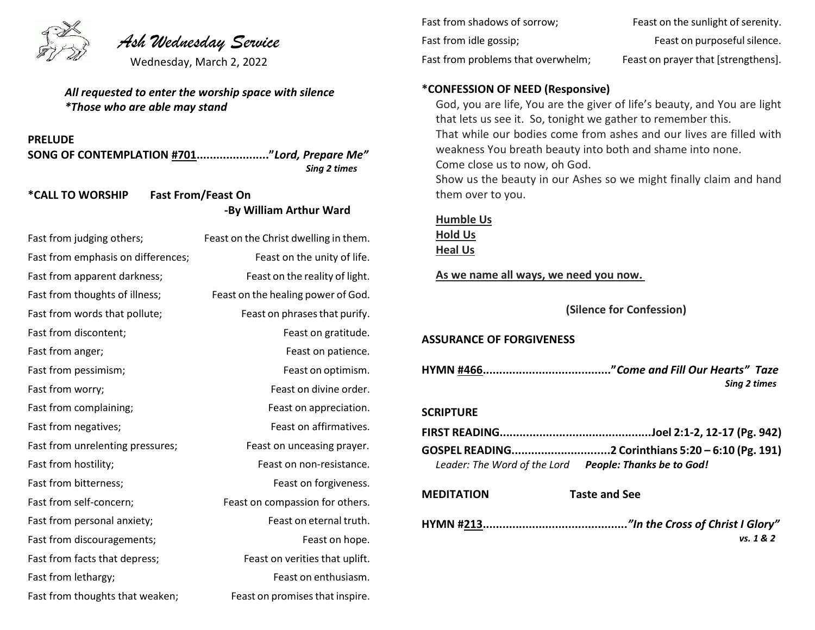

# *Ash Wednesday Service*

Wednesday, March 2, 2022

*All requested to enter the worship space with silence \*Those who are able may stand*

**PRELUDE**

**SONG OF CONTEMPLATION #701......................"***Lord, Prepare Me" Sing 2 times*

# **\*CALL TO WORSHIP Fast From/Feast On -By William Arthur Ward**

| Fast from judging others;          | Feast on the Christ dwelling in them. |
|------------------------------------|---------------------------------------|
| Fast from emphasis on differences; | Feast on the unity of life.           |
| Fast from apparent darkness;       | Feast on the reality of light.        |
| Fast from thoughts of illness;     | Feast on the healing power of God.    |
| Fast from words that pollute;      | Feast on phrases that purify.         |
| Fast from discontent;              | Feast on gratitude.                   |
| Fast from anger;                   | Feast on patience.                    |
| Fast from pessimism;               | Feast on optimism.                    |
| Fast from worry;                   | Feast on divine order.                |
| Fast from complaining;             | Feast on appreciation.                |
| Fast from negatives;               | Feast on affirmatives.                |
| Fast from unrelenting pressures;   | Feast on unceasing prayer.            |
| Fast from hostility;               | Feast on non-resistance.              |
| Fast from bitterness;              | Feast on forgiveness.                 |
| Fast from self-concern;            | Feast on compassion for others.       |
| Fast from personal anxiety;        | Feast on eternal truth.               |
| Fast from discouragements;         | Feast on hope.                        |
| Fast from facts that depress;      | Feast on verities that uplift.        |
| Fast from lethargy;                | Feast on enthusiasm.                  |
| Fast from thoughts that weaken;    | Feast on promises that inspire.       |

| Fast from shadows of sorrow;       | Feast on the sunlight of serenity.  |
|------------------------------------|-------------------------------------|
| Fast from idle gossip;             | Feast on purposeful silence.        |
| Fast from problems that overwhelm; | Feast on prayer that [strengthens]. |

#### **\*CONFESSION OF NEED (Responsive)**

God, you are life, You are the giver of life's beauty, and You are light that lets us see it. So, tonight we gather to remember this. That while our bodies come from ashes and our lives are filled with weakness You breath beauty into both and shame into none. Come close us to now, oh God. Show us the beauty in our Ashes so we might finally claim and hand them over to you.

### **Humble Us Hold Us**

**Heal Us**

**As we name all ways, we need you now.**

**(Silence for Confession)**

#### **ASSURANCE OF FORGIVENESS**

**HYMN #466......................................."***Come and Fill Our Hearts" Taze Sing 2 times*

#### **SCRIPTURE**

|                                                        | GOSPEL READING2 Corinthians 5:20 - 6:10 (Pg. 191) |
|--------------------------------------------------------|---------------------------------------------------|
| Leader: The Word of the Lord People: Thanks be to God! |                                                   |

#### **MEDITATION Taste and See**

**HYMN #213............................................***"In the Cross of Christ I Glory" vs. 1 & 2*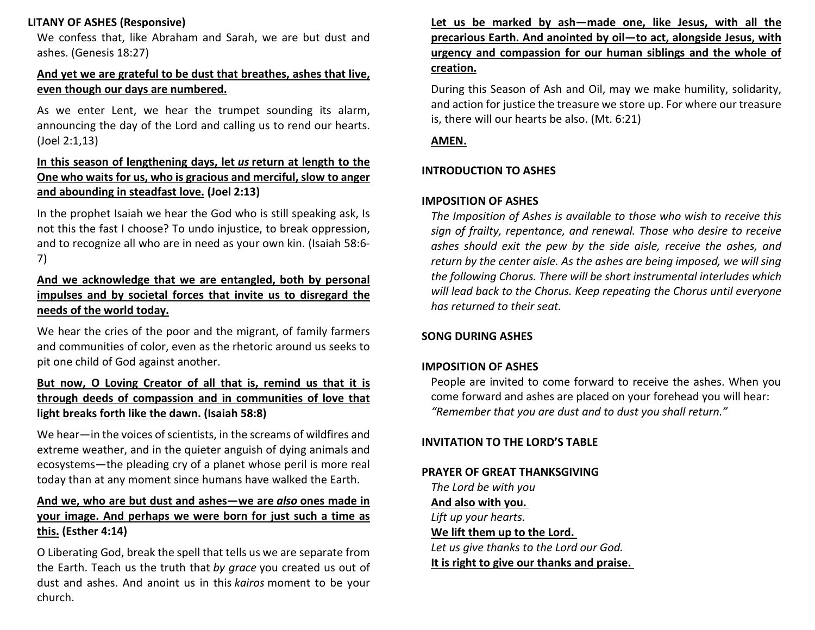# **LITANY OF ASHES (Responsive)**

We confess that, like Abraham and Sarah, we are but dust and ashes. (Genesis 18:27)

# **And yet we are grateful to be dust that breathes, ashes that live, even though our days are numbered.**

As we enter Lent, we hear the trumpet sounding its alarm, announcing the day of the Lord and calling us to rend our hearts. (Joel 2:1,13)

# **In this season of lengthening days, let** *us* **return at length to the One who waits for us, who is gracious and merciful, slow to anger and abounding in steadfast love. (Joel 2:13)**

In the prophet Isaiah we hear the God who is still speaking ask, Is not this the fast I choose? To undo injustice, to break oppression, and to recognize all who are in need as your own kin. (Isaiah 58:6- 7)

# **And we acknowledge that we are entangled, both by personal impulses and by societal forces that invite us to disregard the needs of the world today.**

We hear the cries of the poor and the migrant, of family farmers and communities of color, even as the rhetoric around us seeks to pit one child of God against another.

# **But now, O Loving Creator of all that is, remind us that it is through deeds of compassion and in communities of love that light breaks forth like the dawn. (Isaiah 58:8)**

We hear—in the voices of scientists, in the screams of wildfires and extreme weather, and in the quieter anguish of dying animals and ecosystems—the pleading cry of a planet whose peril is more real today than at any moment since humans have walked the Earth.

# **And we, who are but dust and ashes—we are** *also* **ones made in your image. And perhaps we were born for just such a time as this. (Esther 4:14)**

O Liberating God, break the spell that tells us we are separate from the Earth. Teach us the truth that *by grace* you created us out of dust and ashes. And anoint us in this *kairos* moment to be your church.

# **Let us be marked by ash—made one, like Jesus, with all the precarious Earth. And anointed by oil—to act, alongside Jesus, with urgency and compassion for our human siblings and the whole of creation.**

During this Season of Ash and Oil, may we make humility, solidarity, and action for justice the treasure we store up. For where our treasure is, there will our hearts be also. (Mt. 6:21)

#### **AMEN.**

### **INTRODUCTION TO ASHES**

### **IMPOSITION OF ASHES**

*The Imposition of Ashes is available to those who wish to receive this sign of frailty, repentance, and renewal. Those who desire to receive ashes should exit the pew by the side aisle, receive the ashes, and return by the center aisle. As the ashes are being imposed, we will sing the following Chorus. There will be short instrumental interludes which will lead back to the Chorus. Keep repeating the Chorus until everyone has returned to their seat.*

### **SONG DURING ASHES**

# **IMPOSITION OF ASHES**

People are invited to come forward to receive the ashes. When you come forward and ashes are placed on your forehead you will hear: *"Remember that you are dust and to dust you shall return."*

### **INVITATION TO THE LORD'S TABLE**

### **PRAYER OF GREAT THANKSGIVING**

*The Lord be with you* **And also with you.** *Lift up your hearts.* **We lift them up to the Lord.** *Let us give thanks to the Lord our God.* **It is right to give our thanks and praise.**